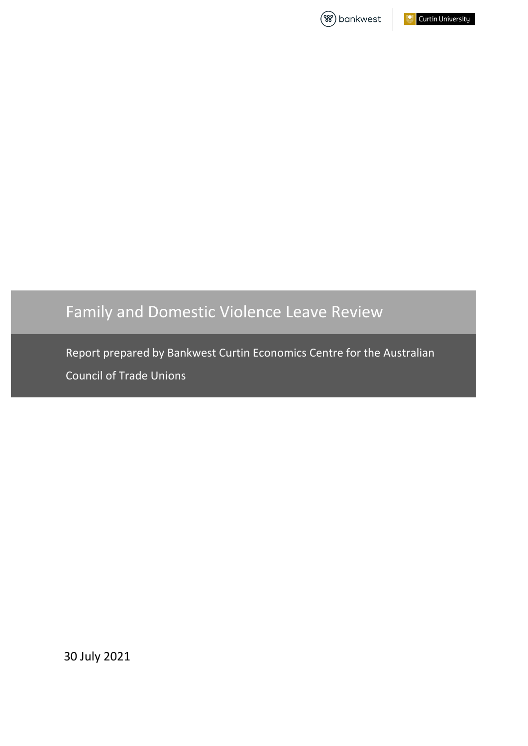



# Family and Domestic Violence Leave Review

Report prepared by Bankwest Curtin Economics Centre for the Australian Council of Trade Unions

30 July 2021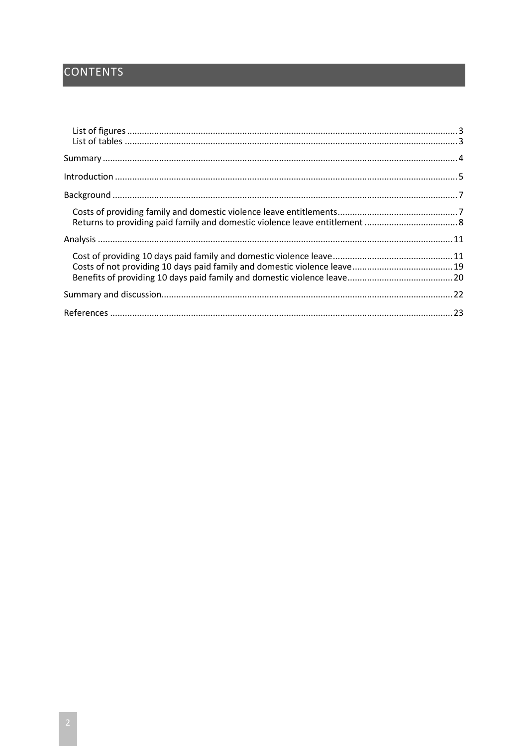# **CONTENTS**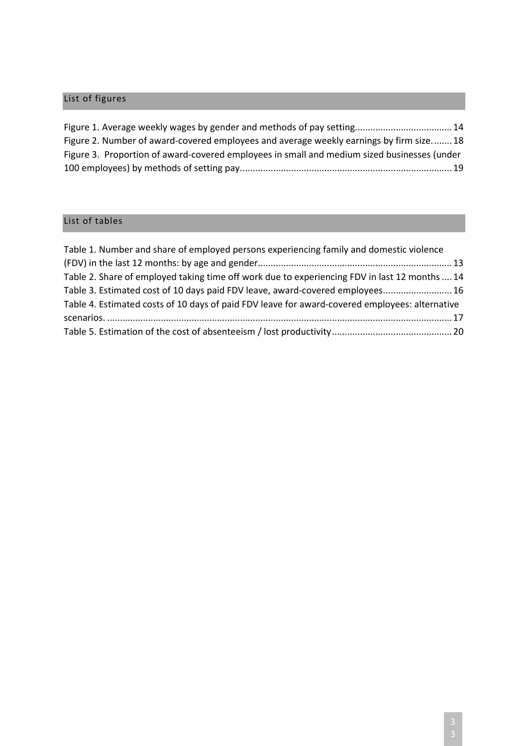# <span id="page-2-0"></span>List of figures

| Figure 1. Average weekly wages by gender and methods of pay setting 14                      |  |
|---------------------------------------------------------------------------------------------|--|
| Figure 2. Number of award-covered employees and average weekly earnings by firm size18      |  |
| Figure 3. Proportion of award-covered employees in small and medium sized businesses (under |  |
|                                                                                             |  |

# <span id="page-2-1"></span>List of tables

| Table 1. Number and share of employed persons experiencing family and domestic violence        |  |
|------------------------------------------------------------------------------------------------|--|
|                                                                                                |  |
| Table 2. Share of employed taking time off work due to experiencing FDV in last 12 months  14  |  |
| Table 3. Estimated cost of 10 days paid FDV leave, award-covered employees 16                  |  |
| Table 4. Estimated costs of 10 days of paid FDV leave for award-covered employees: alternative |  |
|                                                                                                |  |
|                                                                                                |  |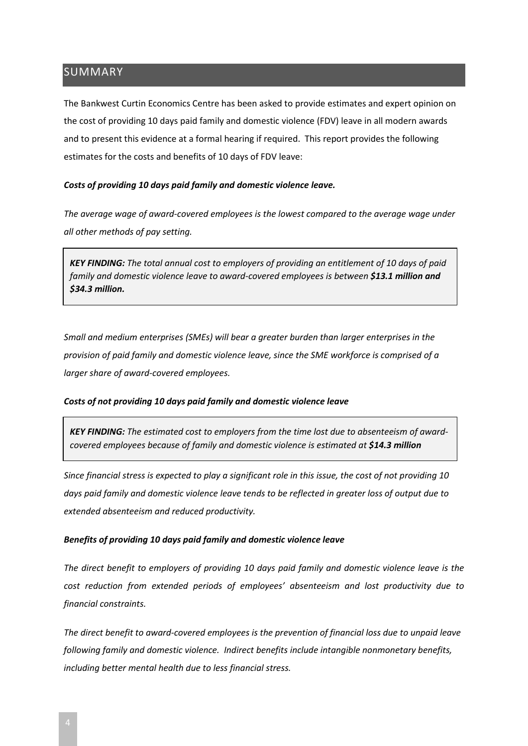## <span id="page-3-0"></span>SUMMARY

The Bankwest Curtin Economics Centre has been asked to provide estimates and expert opinion on the cost of providing 10 days paid family and domestic violence (FDV) leave in all modern awards and to present this evidence at a formal hearing if required. This report provides the following estimates for the costs and benefits of 10 days of FDV leave:

#### *Costs of providing 10 days paid family and domestic violence leave.*

*The average wage of award-covered employees is the lowest compared to the average wage under all other methods of pay setting.* 

*KEY FINDING: The total annual cost to employers of providing an entitlement of 10 days of paid family and domestic violence leave to award-covered employees is between \$13.1 million and \$34.3 million.*

*Small and medium enterprises (SMEs) will bear a greater burden than larger enterprises in the provision of paid family and domestic violence leave, since the SME workforce is comprised of a larger share of award-covered employees.*

#### *Costs of not providing 10 days paid family and domestic violence leave*

*KEY FINDING: The estimated cost to employers from the time lost due to absenteeism of awardcovered employees because of family and domestic violence is estimated at \$14.3 million*

*Since financial stress is expected to play a significant role in this issue, the cost of not providing 10 days paid family and domestic violence leave tends to be reflected in greater loss of output due to extended absenteeism and reduced productivity.* 

#### *Benefits of providing 10 days paid family and domestic violence leave*

*The direct benefit to employers of providing 10 days paid family and domestic violence leave is the cost reduction from extended periods of employees' absenteeism and lost productivity due to financial constraints.* 

*The direct benefit to award-covered employees is the prevention of financial loss due to unpaid leave following family and domestic violence. Indirect benefits include intangible nonmonetary benefits, including better mental health due to less financial stress.*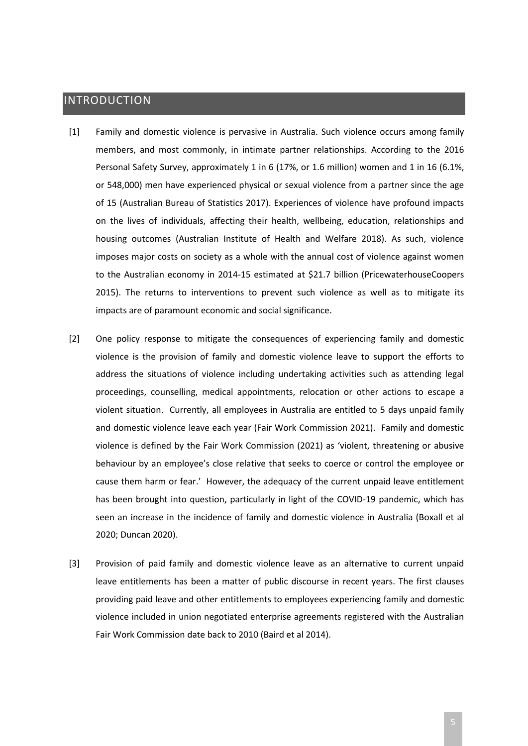# <span id="page-4-0"></span>INTRODUCTION

- [1] Family and domestic violence is pervasive in Australia. Such violence occurs among family members, and most commonly, in intimate partner relationships. According to the 2016 Personal Safety Survey, approximately 1 in 6 (17%, or 1.6 million) women and 1 in 16 (6.1%, or 548,000) men have experienced physical or sexual violence from a partner since the age of 15 (Australian Bureau of Statistics 2017). Experiences of violence have profound impacts on the lives of individuals, affecting their health, wellbeing, education, relationships and housing outcomes (Australian Institute of Health and Welfare 2018). As such, violence imposes major costs on society as a whole with the annual cost of violence against women to the Australian economy in 2014-15 estimated at \$21.7 billion (PricewaterhouseCoopers 2015). The returns to interventions to prevent such violence as well as to mitigate its impacts are of paramount economic and social significance.
- [2] One policy response to mitigate the consequences of experiencing family and domestic violence is the provision of family and domestic violence leave to support the efforts to address the situations of violence including undertaking activities such as attending legal proceedings, counselling, medical appointments, relocation or other actions to escape a violent situation. Currently, all employees in Australia are entitled to 5 days unpaid family and domestic violence leave each year (Fair Work Commission 2021). Family and domestic violence is defined by the Fair Work Commission (2021) as 'violent, threatening or abusive behaviour by an employee's close relative that seeks to coerce or control the employee or cause them harm or fear.' However, the adequacy of the current unpaid leave entitlement has been brought into question, particularly in light of the COVID-19 pandemic, which has seen an increase in the incidence of family and domestic violence in Australia (Boxall et al 2020; Duncan 2020).
- [3] Provision of paid family and domestic violence leave as an alternative to current unpaid leave entitlements has been a matter of public discourse in recent years. The first clauses providing paid leave and other entitlements to employees experiencing family and domestic violence included in union negotiated enterprise agreements registered with the Australian Fair Work Commission date back to 2010 (Baird et al 2014).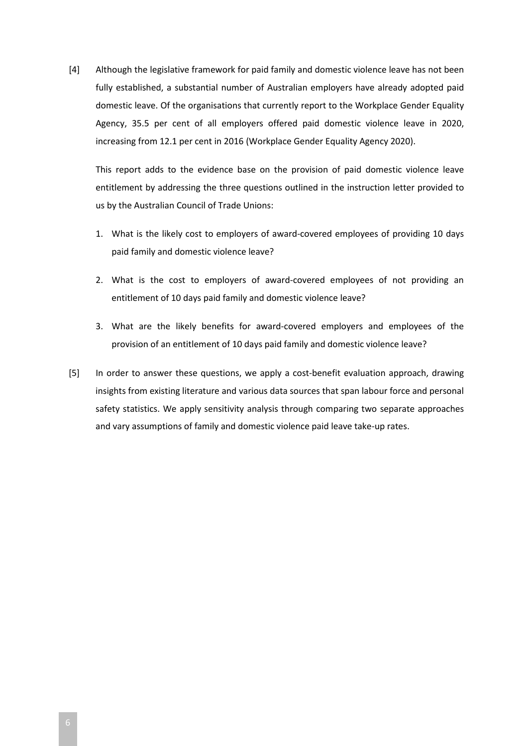[4] Although the legislative framework for paid family and domestic violence leave has not been fully established, a substantial number of Australian employers have already adopted paid domestic leave. Of the organisations that currently report to the Workplace Gender Equality Agency, 35.5 per cent of all employers offered paid domestic violence leave in 2020, increasing from 12.1 per cent in 2016 (Workplace Gender Equality Agency 2020).

This report adds to the evidence base on the provision of paid domestic violence leave entitlement by addressing the three questions outlined in the instruction letter provided to us by the Australian Council of Trade Unions:

- 1. What is the likely cost to employers of award-covered employees of providing 10 days paid family and domestic violence leave?
- 2. What is the cost to employers of award-covered employees of not providing an entitlement of 10 days paid family and domestic violence leave?
- 3. What are the likely benefits for award-covered employers and employees of the provision of an entitlement of 10 days paid family and domestic violence leave?
- [5] In order to answer these questions, we apply a cost-benefit evaluation approach, drawing insights from existing literature and various data sources that span labour force and personal safety statistics. We apply sensitivity analysis through comparing two separate approaches and vary assumptions of family and domestic violence paid leave take-up rates.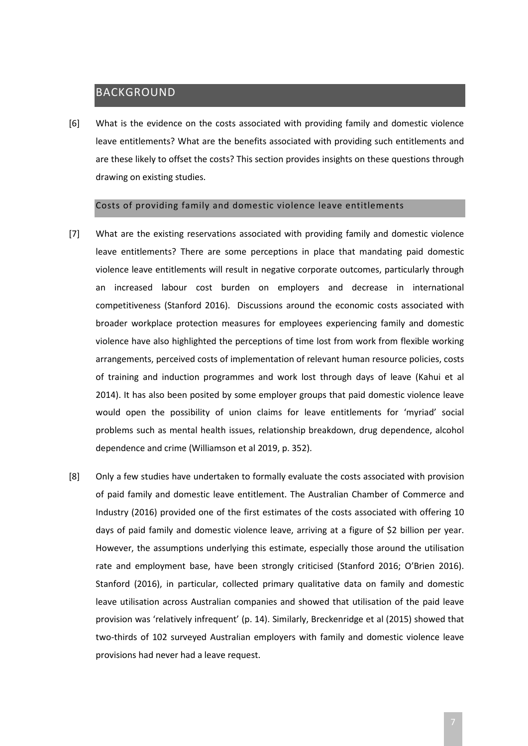## <span id="page-6-0"></span>BACKGROUND

[6] What is the evidence on the costs associated with providing family and domestic violence leave entitlements? What are the benefits associated with providing such entitlements and are these likely to offset the costs? This section provides insights on these questions through drawing on existing studies.

#### Costs of providing family and domestic violence leave entitlements

- <span id="page-6-1"></span>[7] What are the existing reservations associated with providing family and domestic violence leave entitlements? There are some perceptions in place that mandating paid domestic violence leave entitlements will result in negative corporate outcomes, particularly through an increased labour cost burden on employers and decrease in international competitiveness (Stanford 2016). Discussions around the economic costs associated with broader workplace protection measures for employees experiencing family and domestic violence have also highlighted the perceptions of time lost from work from flexible working arrangements, perceived costs of implementation of relevant human resource policies, costs of training and induction programmes and work lost through days of leave (Kahui et al 2014). It has also been posited by some employer groups that paid domestic violence leave would open the possibility of union claims for leave entitlements for 'myriad' social problems such as mental health issues, relationship breakdown, drug dependence, alcohol dependence and crime (Williamson et al 2019, p. 352).
- [8] Only a few studies have undertaken to formally evaluate the costs associated with provision of paid family and domestic leave entitlement. The Australian Chamber of Commerce and Industry (2016) provided one of the first estimates of the costs associated with offering 10 days of paid family and domestic violence leave, arriving at a figure of \$2 billion per year. However, the assumptions underlying this estimate, especially those around the utilisation rate and employment base, have been strongly criticised (Stanford 2016; O'Brien 2016). Stanford (2016), in particular, collected primary qualitative data on family and domestic leave utilisation across Australian companies and showed that utilisation of the paid leave provision was 'relatively infrequent' (p. 14). Similarly, Breckenridge et al (2015) showed that two-thirds of 102 surveyed Australian employers with family and domestic violence leave provisions had never had a leave request.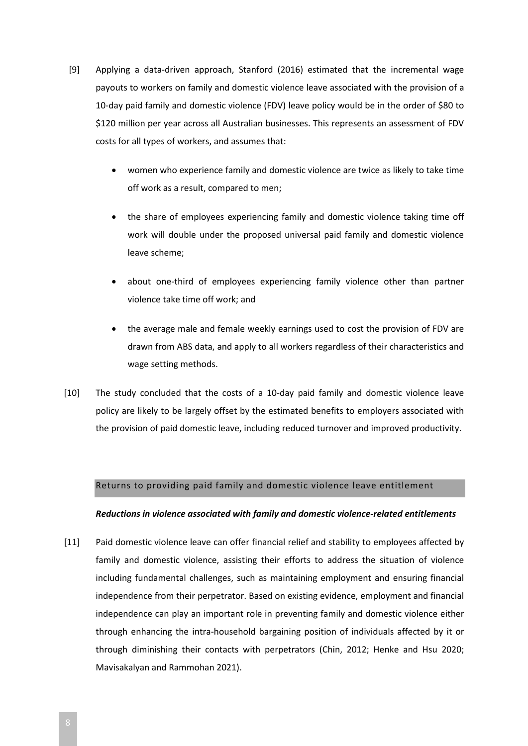- [9] Applying a data-driven approach, Stanford (2016) estimated that the incremental wage payouts to workers on family and domestic violence leave associated with the provision of a 10-day paid family and domestic violence (FDV) leave policy would be in the order of \$80 to \$120 million per year across all Australian businesses. This represents an assessment of FDV costs for all types of workers, and assumes that:
	- women who experience family and domestic violence are twice as likely to take time off work as a result, compared to men;
	- the share of employees experiencing family and domestic violence taking time off work will double under the proposed universal paid family and domestic violence leave scheme;
	- about one-third of employees experiencing family violence other than partner violence take time off work; and
	- the average male and female weekly earnings used to cost the provision of FDV are drawn from ABS data, and apply to all workers regardless of their characteristics and wage setting methods.
- [10] The study concluded that the costs of a 10-day paid family and domestic violence leave policy are likely to be largely offset by the estimated benefits to employers associated with the provision of paid domestic leave, including reduced turnover and improved productivity.

#### <span id="page-7-0"></span>Returns to providing paid family and domestic violence leave entitlement

#### *Reductions in violence associated with family and domestic violence-related entitlements*

[11] Paid domestic violence leave can offer financial relief and stability to employees affected by family and domestic violence, assisting their efforts to address the situation of violence including fundamental challenges, such as maintaining employment and ensuring financial independence from their perpetrator. Based on existing evidence, employment and financial independence can play an important role in preventing family and domestic violence either through enhancing the intra-household bargaining position of individuals affected by it or through diminishing their contacts with perpetrators (Chin, 2012; Henke and Hsu 2020; Mavisakalyan and Rammohan 2021).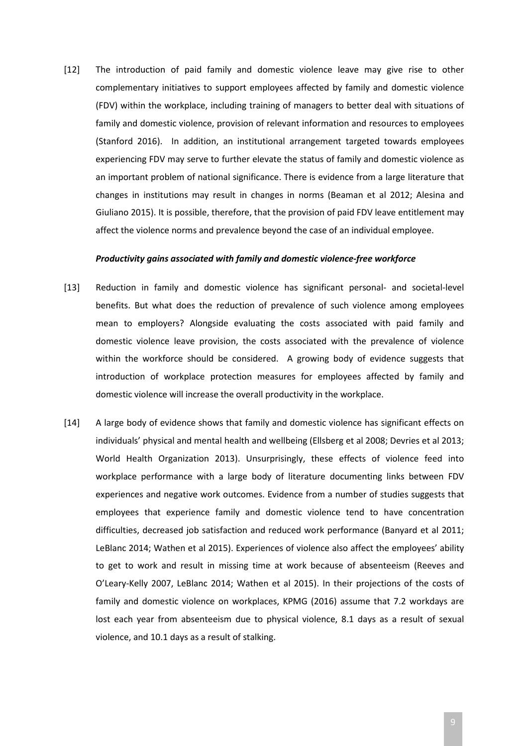[12] The introduction of paid family and domestic violence leave may give rise to other complementary initiatives to support employees affected by family and domestic violence (FDV) within the workplace, including training of managers to better deal with situations of family and domestic violence, provision of relevant information and resources to employees (Stanford 2016). In addition, an institutional arrangement targeted towards employees experiencing FDV may serve to further elevate the status of family and domestic violence as an important problem of national significance. There is evidence from a large literature that changes in institutions may result in changes in norms (Beaman et al 2012; Alesina and Giuliano 2015). It is possible, therefore, that the provision of paid FDV leave entitlement may affect the violence norms and prevalence beyond the case of an individual employee.

#### *Productivity gains associated with family and domestic violence-free workforce*

- [13] Reduction in family and domestic violence has significant personal- and societal-level benefits. But what does the reduction of prevalence of such violence among employees mean to employers? Alongside evaluating the costs associated with paid family and domestic violence leave provision, the costs associated with the prevalence of violence within the workforce should be considered. A growing body of evidence suggests that introduction of workplace protection measures for employees affected by family and domestic violence will increase the overall productivity in the workplace.
- [14] A large body of evidence shows that family and domestic violence has significant effects on individuals' physical and mental health and wellbeing (Ellsberg et al 2008; Devries et al 2013; World Health Organization 2013). Unsurprisingly, these effects of violence feed into workplace performance with a large body of literature documenting links between FDV experiences and negative work outcomes. Evidence from a number of studies suggests that employees that experience family and domestic violence tend to have concentration difficulties, decreased job satisfaction and reduced work performance (Banyard et al 2011; LeBlanc 2014; Wathen et al 2015). Experiences of violence also affect the employees' ability to get to work and result in missing time at work because of absenteeism (Reeves and O'Leary-Kelly 2007, LeBlanc 2014; Wathen et al 2015). In their projections of the costs of family and domestic violence on workplaces, KPMG (2016) assume that 7.2 workdays are lost each year from absenteeism due to physical violence, 8.1 days as a result of sexual violence, and 10.1 days as a result of stalking.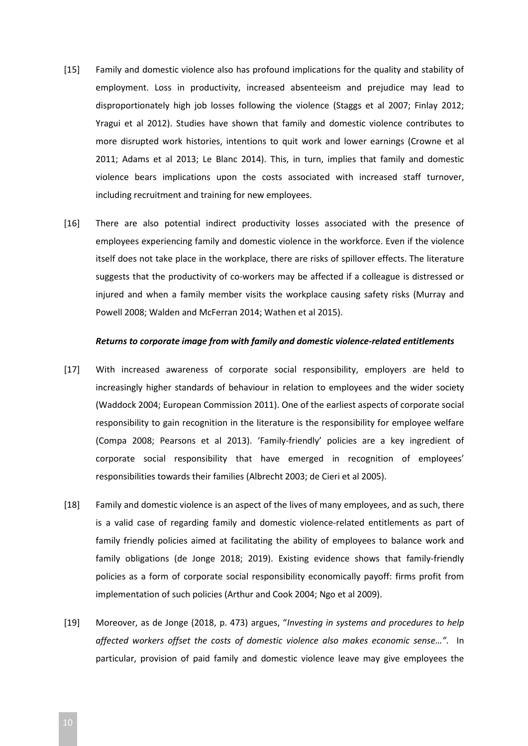- [15] Family and domestic violence also has profound implications for the quality and stability of employment. Loss in productivity, increased absenteeism and prejudice may lead to disproportionately high job losses following the violence (Staggs et al 2007; Finlay 2012; Yragui et al 2012). Studies have shown that family and domestic violence contributes to more disrupted work histories, intentions to quit work and lower earnings (Crowne et al 2011; Adams et al 2013; Le Blanc 2014). This, in turn, implies that family and domestic violence bears implications upon the costs associated with increased staff turnover, including recruitment and training for new employees.
- [16] There are also potential indirect productivity losses associated with the presence of employees experiencing family and domestic violence in the workforce. Even if the violence itself does not take place in the workplace, there are risks of spillover effects. The literature suggests that the productivity of co-workers may be affected if a colleague is distressed or injured and when a family member visits the workplace causing safety risks (Murray and Powell 2008; Walden and McFerran 2014; Wathen et al 2015).

#### *Returns to corporate image from with family and domestic violence-related entitlements*

- [17] With increased awareness of corporate social responsibility, employers are held to increasingly higher standards of behaviour in relation to employees and the wider society (Waddock 2004; European Commission 2011). One of the earliest aspects of corporate social responsibility to gain recognition in the literature is the responsibility for employee welfare (Compa 2008; Pearsons et al 2013). 'Family-friendly' policies are a key ingredient of corporate social responsibility that have emerged in recognition of employees' responsibilities towards their families (Albrecht 2003; de Cieri et al 2005).
- [18] Family and domestic violence is an aspect of the lives of many employees, and as such, there is a valid case of regarding family and domestic violence-related entitlements as part of family friendly policies aimed at facilitating the ability of employees to balance work and family obligations (de Jonge 2018; 2019). Existing evidence shows that family-friendly policies as a form of corporate social responsibility economically payoff: firms profit from implementation of such policies (Arthur and Cook 2004; Ngo et al 2009).
- [19] Moreover, as de Jonge (2018, p. 473) argues, "*Investing in systems and procedures to help affected workers offset the costs of domestic violence also makes economic sense…"*. In particular, provision of paid family and domestic violence leave may give employees the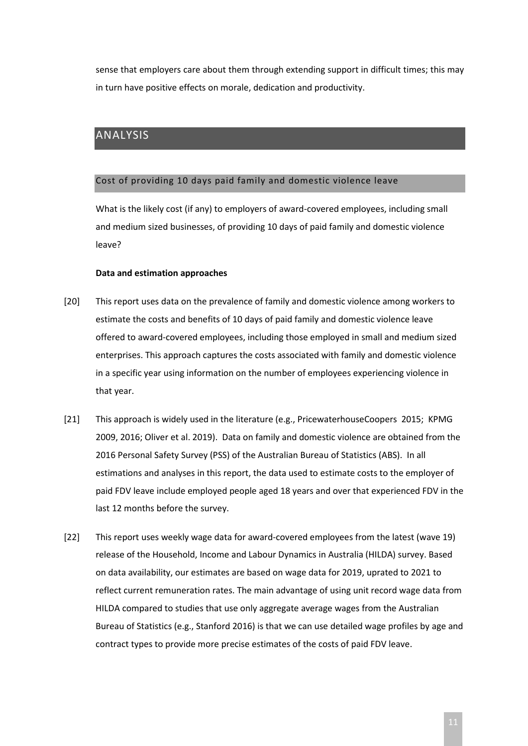sense that employers care about them through extending support in difficult times; this may in turn have positive effects on morale, dedication and productivity.

# <span id="page-10-0"></span>ANALYSIS

#### <span id="page-10-1"></span>Cost of providing 10 days paid family and domestic violence leave

What is the likely cost (if any) to employers of award-covered employees, including small and medium sized businesses, of providing 10 days of paid family and domestic violence leave?

#### **Data and estimation approaches**

- [20] This report uses data on the prevalence of family and domestic violence among workers to estimate the costs and benefits of 10 days of paid family and domestic violence leave offered to award-covered employees, including those employed in small and medium sized enterprises. This approach captures the costs associated with family and domestic violence in a specific year using information on the number of employees experiencing violence in that year.
- [21] This approach is widely used in the literature (e.g., PricewaterhouseCoopers 2015; KPMG 2009, 2016; Oliver et al. 2019). Data on family and domestic violence are obtained from the 2016 Personal Safety Survey (PSS) of the Australian Bureau of Statistics (ABS). In all estimations and analyses in this report, the data used to estimate costs to the employer of paid FDV leave include employed people aged 18 years and over that experienced FDV in the last 12 months before the survey.
- [22] This report uses weekly wage data for award-covered employees from the latest (wave 19) release of the Household, Income and Labour Dynamics in Australia (HILDA) survey. Based on data availability, our estimates are based on wage data for 2019, uprated to 2021 to reflect current remuneration rates. The main advantage of using unit record wage data from HILDA compared to studies that use only aggregate average wages from the Australian Bureau of Statistics (e.g., Stanford 2016) is that we can use detailed wage profiles by age and contract types to provide more precise estimates of the costs of paid FDV leave.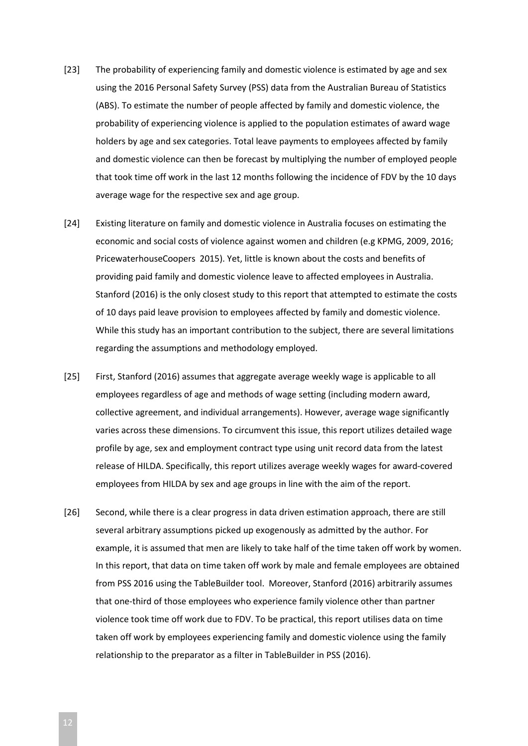- [23] The probability of experiencing family and domestic violence is estimated by age and sex using the 2016 Personal Safety Survey (PSS) data from the Australian Bureau of Statistics (ABS). To estimate the number of people affected by family and domestic violence, the probability of experiencing violence is applied to the population estimates of award wage holders by age and sex categories. Total leave payments to employees affected by family and domestic violence can then be forecast by multiplying the number of employed people that took time off work in the last 12 months following the incidence of FDV by the 10 days average wage for the respective sex and age group.
- [24] Existing literature on family and domestic violence in Australia focuses on estimating the economic and social costs of violence against women and children (e.g KPMG, 2009, 2016; PricewaterhouseCoopers 2015). Yet, little is known about the costs and benefits of providing paid family and domestic violence leave to affected employees in Australia. Stanford (2016) is the only closest study to this report that attempted to estimate the costs of 10 days paid leave provision to employees affected by family and domestic violence. While this study has an important contribution to the subject, there are several limitations regarding the assumptions and methodology employed.
- [25] First, Stanford (2016) assumes that aggregate average weekly wage is applicable to all employees regardless of age and methods of wage setting (including modern award, collective agreement, and individual arrangements). However, average wage significantly varies across these dimensions. To circumvent this issue, this report utilizes detailed wage profile by age, sex and employment contract type using unit record data from the latest release of HILDA. Specifically, this report utilizes average weekly wages for award-covered employees from HILDA by sex and age groups in line with the aim of the report.
- [26] Second, while there is a clear progress in data driven estimation approach, there are still several arbitrary assumptions picked up exogenously as admitted by the author. For example, it is assumed that men are likely to take half of the time taken off work by women. In this report, that data on time taken off work by male and female employees are obtained from PSS 2016 using the TableBuilder tool. Moreover, Stanford (2016) arbitrarily assumes that one-third of those employees who experience family violence other than partner violence took time off work due to FDV. To be practical, this report utilises data on time taken off work by employees experiencing family and domestic violence using the family relationship to the preparator as a filter in TableBuilder in PSS (2016).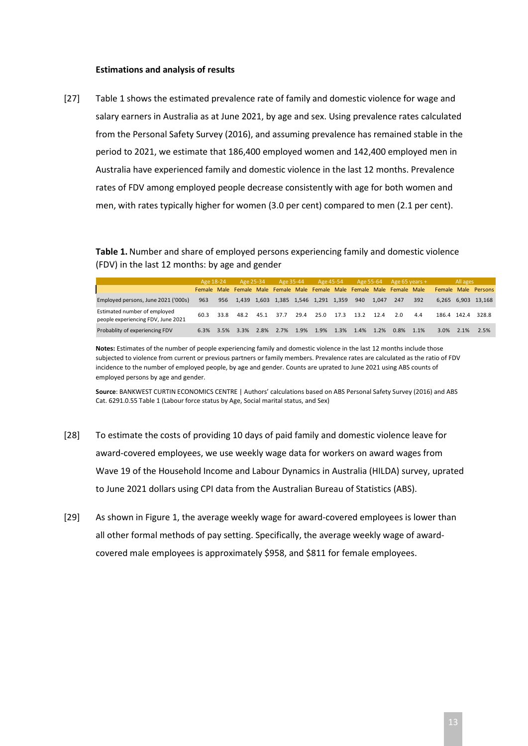#### **Estimations and analysis of results**

[27] [Table 1](#page-12-0) shows the estimated prevalence rate of family and domestic violence for wage and salary earners in Australia as at June 2021, by age and sex. Using prevalence rates calculated from the Personal Safety Survey (2016), and assuming prevalence has remained stable in the period to 2021, we estimate that 186,400 employed women and 142,400 employed men in Australia have experienced family and domestic violence in the last 12 months. Prevalence rates of FDV among employed people decrease consistently with age for both women and men, with rates typically higher for women (3.0 per cent) compared to men (2.1 per cent).

<span id="page-12-0"></span>**Table 1.** Number and share of employed persons experiencing family and domestic violence (FDV) in the last 12 months: by age and gender

|                                                                    | Age 18-24 |      | Age 25-34                                                               |      | Age 35-44                               |      | Age 45-54 |      |      | Age 55-64 | Age 65 years $+$ |      |              | All ages |                     |
|--------------------------------------------------------------------|-----------|------|-------------------------------------------------------------------------|------|-----------------------------------------|------|-----------|------|------|-----------|------------------|------|--------------|----------|---------------------|
|                                                                    |           |      | Female Male Female Male Female Male Female Male Female Male Female Male |      |                                         |      |           |      |      |           |                  |      |              |          | Female Male Persons |
| Employed persons, June 2021 ('000s)                                | 963       | 956  |                                                                         |      | 1,439 1,603 1,385 1,546 1,291 1,359 940 |      |           |      |      | 1.047     | 247              | 392  |              |          | 6.265 6.903 13.168  |
| Estimated number of employed<br>people experiencing FDV, June 2021 | 60.3      | 33.8 | 48.2                                                                    | 45.1 | 37.7                                    | 29.4 | 25.0      | 17.3 | 13.2 | 12.4      | 2 O              | 4.4  | 186.4 142.4  |          | 328.8               |
| Probablity of experiencing FDV                                     | 6.3%      | 3.5% | 3.3%                                                                    | 2.8% | 2.7%                                    | 1.9% | 1.9%      | 1.3% | 1.4% | 1.2%      | 0.8%             | 1.1% | $3.0\%$ 2.1% |          | 2.5%                |

**Notes:** Estimates of the number of people experiencing family and domestic violence in the last 12 months include those subjected to violence from current or previous partners or family members. Prevalence rates are calculated as the ratio of FDV incidence to the number of employed people, by age and gender. Counts are uprated to June 2021 using ABS counts of employed persons by age and gender.

**Source**: BANKWEST CURTIN ECONOMICS CENTRE | Authors' calculations based on ABS Personal Safety Survey (2016) and ABS Cat. 6291.0.55 Table 1 (Labour force status by Age, Social marital status, and Sex)

- [28] To estimate the costs of providing 10 days of paid family and domestic violence leave for award-covered employees, we use weekly wage data for workers on award wages from Wave 19 of the Household Income and Labour Dynamics in Australia (HILDA) survey, uprated to June 2021 dollars using CPI data from the Australian Bureau of Statistics (ABS).
- [29] As shown in [Figure 1,](#page-13-0) the average weekly wage for award-covered employees is lower than all other formal methods of pay setting. Specifically, the average weekly wage of awardcovered male employees is approximately \$958, and \$811 for female employees.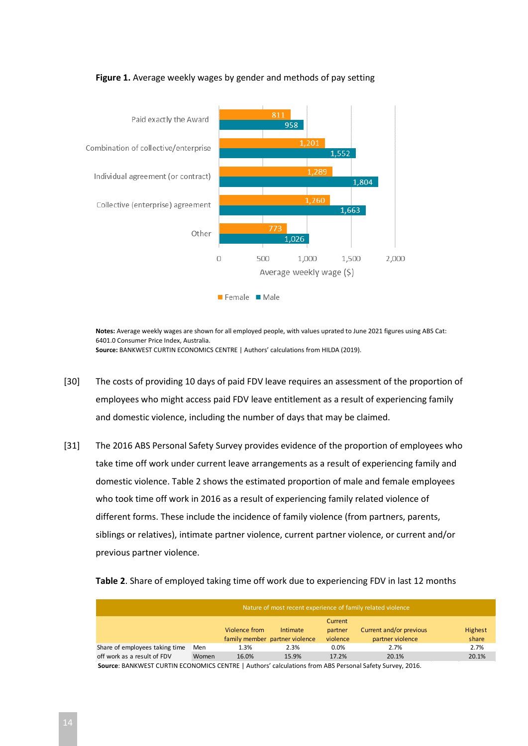<span id="page-13-0"></span>

#### **Figure 1.** Average weekly wages by gender and methods of pay setting

**Notes:** Average weekly wages are shown for all employed people, with values uprated to June 2021 figures using ABS Cat: 6401.0 Consumer Price Index, Australia. **Source:** BANKWEST CURTIN ECONOMICS CENTRE | Authors' calculations from HILDA (2019).

- [30] The costs of providing 10 days of paid FDV leave requires an assessment of the proportion of employees who might access paid FDV leave entitlement as a result of experiencing family and domestic violence, including the number of days that may be claimed.
- [31] The 2016 ABS Personal Safety Survey provides evidence of the proportion of employees who take time off work under current leave arrangements as a result of experiencing family and domestic violence. [Table 2](#page-13-1) shows the estimated proportion of male and female employees who took time off work in 2016 as a result of experiencing family related violence of different forms. These include the incidence of family violence (from partners, parents, siblings or relatives), intimate partner violence, current partner violence, or current and/or previous partner violence.

<span id="page-13-1"></span>

| Nature of most recent experience of family related violence                                           |       |               |                                |          |                         |         |  |  |  |
|-------------------------------------------------------------------------------------------------------|-------|---------------|--------------------------------|----------|-------------------------|---------|--|--|--|
|                                                                                                       |       |               |                                | Current  |                         |         |  |  |  |
|                                                                                                       |       | Violence from | Intimate                       | partner  | Current and/or previous | Highest |  |  |  |
|                                                                                                       |       |               | family member partner violence | violence | partner violence        | share   |  |  |  |
| Share of employees taking time                                                                        | Men   | 1.3%          | 2.3%                           | $0.0\%$  | 2.7%                    | 2.7%    |  |  |  |
| off work as a result of FDV                                                                           | Women | 16.0%         | 15.9%                          | 17.2%    | 20.1%                   | 20.1%   |  |  |  |
| Source: RANKWEST CURTIN ECONOMICS CENTRE   Authors' calculations from ARS Dersonal Safety Survey 2016 |       |               |                                |          |                         |         |  |  |  |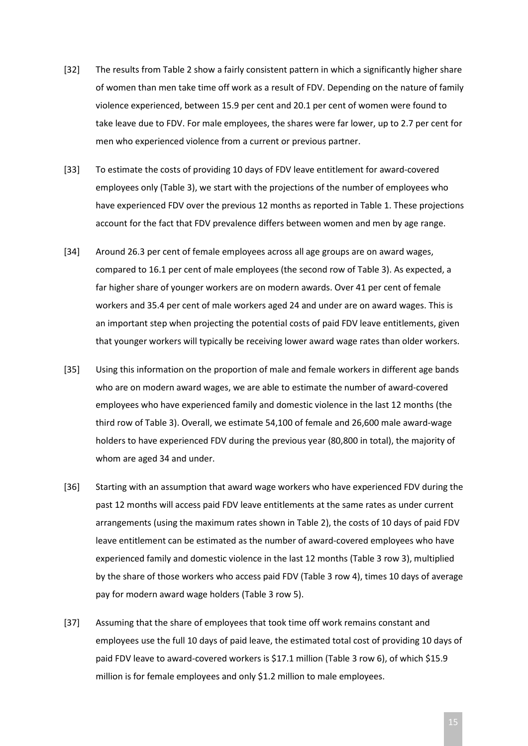- [32] The results from [Table 2](#page-13-1) show a fairly consistent pattern in which a significantly higher share of women than men take time off work as a result of FDV. Depending on the nature of family violence experienced, between 15.9 per cent and 20.1 per cent of women were found to take leave due to FDV. For male employees, the shares were far lower, up to 2.7 per cent for men who experienced violence from a current or previous partner.
- [33] To estimate the costs of providing 10 days of FDV leave entitlement for award-covered employees only [\(Table 3\)](#page-15-0), we start with the projections of the number of employees who have experienced FDV over the previous 12 months as reported in [Table 1.](#page-12-0) These projections account for the fact that FDV prevalence differs between women and men by age range.
- [34] Around 26.3 per cent of female employees across all age groups are on award wages, compared to 16.1 per cent of male employees (the second row of [Table 3\)](#page-15-0). As expected, a far higher share of younger workers are on modern awards. Over 41 per cent of female workers and 35.4 per cent of male workers aged 24 and under are on award wages. This is an important step when projecting the potential costs of paid FDV leave entitlements, given that younger workers will typically be receiving lower award wage rates than older workers.
- [35] Using this information on the proportion of male and female workers in different age bands who are on modern award wages, we are able to estimate the number of award-covered employees who have experienced family and domestic violence in the last 12 months (the third row o[f Table 3\)](#page-15-0). Overall, we estimate 54,100 of female and 26,600 male award-wage holders to have experienced FDV during the previous year (80,800 in total), the majority of whom are aged 34 and under.
- [36] Starting with an assumption that award wage workers who have experienced FDV during the past 12 months will access paid FDV leave entitlements at the same rates as under current arrangements (using the maximum rates shown in [Table 2\)](#page-13-1), the costs of 10 days of paid FDV leave entitlement can be estimated as the number of award-covered employees who have experienced family and domestic violence in the last 12 months [\(Table 3](#page-15-0) row 3), multiplied by the share of those workers who access paid FDV [\(Table 3](#page-15-0) row 4), times 10 days of average pay for modern award wage holders [\(Table 3](#page-15-0) row 5).
- [37] Assuming that the share of employees that took time off work remains constant and employees use the full 10 days of paid leave, the estimated total cost of providing 10 days of paid FDV leave to award-covered workers is \$17.1 million [\(Table 3](#page-15-0) row 6), of which \$15.9 million is for female employees and only \$1.2 million to male employees.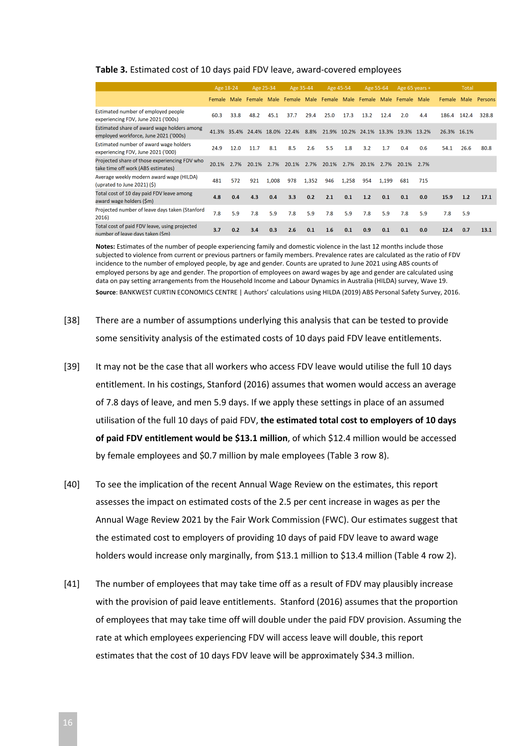#### <span id="page-15-0"></span>**Table 3.** Estimated cost of 10 days paid FDV leave, award-covered employees

|                                                                                      | Age 18-24 |      | Age 25-34 |       | Age 35-44                                                          |       | Age 45-54                           |       | Age 55-64 |       | Age 65 years + |      | Total       |             |              |
|--------------------------------------------------------------------------------------|-----------|------|-----------|-------|--------------------------------------------------------------------|-------|-------------------------------------|-------|-----------|-------|----------------|------|-------------|-------------|--------------|
|                                                                                      |           |      |           |       | Female Male Female Male Female Male Female Male Female Male Female |       |                                     |       |           |       |                | Male | Female      |             | Male Persons |
| Estimated number of employed people<br>experiencing FDV, June 2021 ('000s)           | 60.3      | 33.8 | 48.2      | 45.1  | 37.7                                                               | 29.4  | 25.0                                | 17.3  | 13.2      | 12.4  | 2.0            | 4.4  |             | 186.4 142.4 | 328.8        |
| Estimated share of award wage holders among<br>employed workforce, June 2021 ('000s) |           |      |           |       | 41.3% 35.4% 24.4% 18.0% 22.4% 8.8%                                 |       | 21.9% 10.2% 24.1% 13.3% 19.3% 13.2% |       |           |       |                |      | 26.3% 16.1% |             |              |
| Estimated number of award wage holders<br>experiencing FDV, June 2021 ('000)         | 24.9      | 12.0 | 11.7      | 8.1   | 8.5                                                                | 2.6   | 5.5                                 | 1.8   | 3.2       | 1.7   | 0.4            | 0.6  | 54.1        | 26.6        | 80.8         |
| Projected share of those experiencing FDV who<br>take time off work (ABS estimates)  | 20.1%     | 2.7% | 20.1%     | 2.7%  | 20.1%                                                              | 2.7%  | 20.1%                               | 2.7%  | 20.1%     | 2.7%  | 20.1%          | 2.7% |             |             |              |
| Average weekly modern award wage (HILDA)<br>(uprated to June 2021) $(5)$             | 481       | 572  | 921       | 1,008 | 978                                                                | 1,352 | 946                                 | 1,258 | 954       | 1,199 | 681            | 715  |             |             |              |
| Total cost of 10 day paid FDV leave among<br>award wage holders (\$m)                | 4.8       | 0.4  | 4.3       | 0.4   | 3.3                                                                | 0.2   | 2.1                                 | 0.1   | 1.2       | 0.1   | 0.1            | 0.0  | 15.9        | 1.2         | 17.1         |
| Projected number of leave days taken (Stanford<br>2016)                              | 7.8       | 5.9  | 7.8       | 5.9   | 7.8                                                                | 5.9   | 7.8                                 | 5.9   | 7.8       | 5.9   | 7.8            | 5.9  | 7.8         | 5.9         |              |
| Total cost of paid FDV leave, using projected<br>number of leave days taken (Sm)     | 3.7       | 0.2  | 3.4       | 0.3   | 2.6                                                                | 0.1   | 1.6                                 | 0.1   | 0.9       | 0.1   | 0.1            | 0.0  | 12.4        | 0.7         | 13.1         |

**Notes:** Estimates of the number of people experiencing family and domestic violence in the last 12 months include those subjected to violence from current or previous partners or family members. Prevalence rates are calculated as the ratio of FDV incidence to the number of employed people, by age and gender. Counts are uprated to June 2021 using ABS counts of employed persons by age and gender. The proportion of employees on award wages by age and gender are calculated using data on pay setting arrangements from the Household Income and Labour Dynamics in Australia (HILDA) survey, Wave 19. **Source**: BANKWEST CURTIN ECONOMICS CENTRE | Authors' calculations using HILDA (2019) ABS Personal Safety Survey, 2016.

- [38] There are a number of assumptions underlying this analysis that can be tested to provide some sensitivity analysis of the estimated costs of 10 days paid FDV leave entitlements.
- [39] It may not be the case that all workers who access FDV leave would utilise the full 10 days entitlement. In his costings, Stanford (2016) assumes that women would access an average of 7.8 days of leave, and men 5.9 days. If we apply these settings in place of an assumed utilisation of the full 10 days of paid FDV, **the estimated total cost to employers of 10 days of paid FDV entitlement would be \$13.1 million**, of which \$12.4 million would be accessed by female employees and \$0.7 million by male employees [\(Table 3](#page-15-0) row 8).
- [40] To see the implication of the recent Annual Wage Review on the estimates, this report assesses the impact on estimated costs of the 2.5 per cent increase in wages as per the Annual Wage Review 2021 by the Fair Work Commission (FWC). Our estimates suggest that the estimated cost to employers of providing 10 days of paid FDV leave to award wage holders would increase only marginally, from \$13.1 million to \$13.4 million [\(Table 4](#page-16-0) row 2).
- [41] The number of employees that may take time off as a result of FDV may plausibly increase with the provision of paid leave entitlements. Stanford (2016) assumes that the proportion of employees that may take time off will double under the paid FDV provision. Assuming the rate at which employees experiencing FDV will access leave will double, this report estimates that the cost of 10 days FDV leave will be approximately \$34.3 million.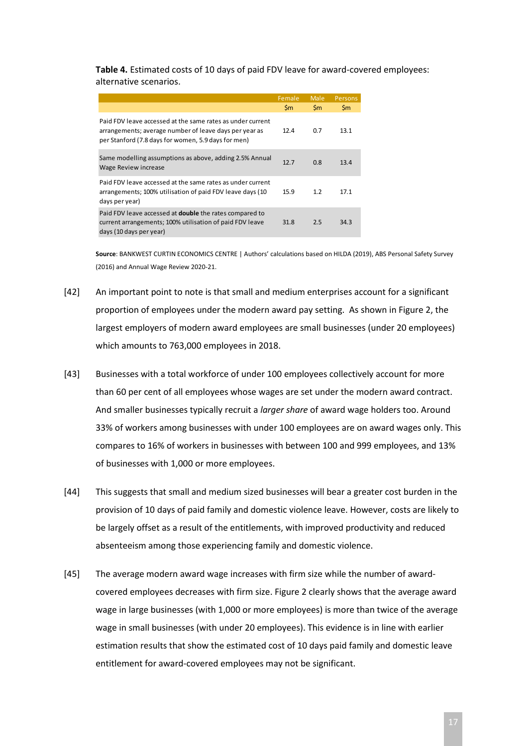<span id="page-16-0"></span>**Table 4.** Estimated costs of 10 days of paid FDV leave for award-covered employees: alternative scenarios.

|                                                                                                                                                                             | Female         | <b>Male</b>   | <b>Persons</b> |
|-----------------------------------------------------------------------------------------------------------------------------------------------------------------------------|----------------|---------------|----------------|
|                                                                                                                                                                             | $\mathsf{S}$ m | $\mathsf{Sm}$ | $\mathsf{Sm}$  |
| Paid FDV leave accessed at the same rates as under current<br>arrangements; average number of leave days per year as<br>per Stanford (7.8 days for women, 5.9 days for men) | 12.4           | 0.7           | 13.1           |
| Same modelling assumptions as above, adding 2.5% Annual<br>Wage Review increase                                                                                             | 12.7           | 0.8           | 13.4           |
| Paid FDV leave accessed at the same rates as under current<br>arrangements; 100% utilisation of paid FDV leave days (10)<br>days per year)                                  | 15.9           | 1.2           | 17.1           |
| Paid FDV leave accessed at <b>double</b> the rates compared to<br>current arrangements; 100% utilisation of paid FDV leave<br>days (10 days per year)                       | 31.8           | 2.5           | 34.3           |

**Source**: BANKWEST CURTIN ECONOMICS CENTRE | Authors' calculations based on HILDA (2019), ABS Personal Safety Survey (2016) and Annual Wage Review 2020-21.

- [42] An important point to note is that small and medium enterprises account for a significant proportion of employees under the modern award pay setting. As shown i[n Figure 2,](#page-17-0) the largest employers of modern award employees are small businesses (under 20 employees) which amounts to 763,000 employees in 2018.
- [43] Businesses with a total workforce of under 100 employees collectively account for more than 60 per cent of all employees whose wages are set under the modern award contract. And smaller businesses typically recruit a *larger share* of award wage holders too. Around 33% of workers among businesses with under 100 employees are on award wages only. This compares to 16% of workers in businesses with between 100 and 999 employees, and 13% of businesses with 1,000 or more employees.
- [44] This suggests that small and medium sized businesses will bear a greater cost burden in the provision of 10 days of paid family and domestic violence leave. However, costs are likely to be largely offset as a result of the entitlements, with improved productivity and reduced absenteeism among those experiencing family and domestic violence.
- [45] The average modern award wage increases with firm size while the number of awardcovered employees decreases with firm size. Figure 2 clearly shows that the average award wage in large businesses (with 1,000 or more employees) is more than twice of the average wage in small businesses (with under 20 employees). This evidence is in line with earlier estimation results that show the estimated cost of 10 days paid family and domestic leave entitlement for award-covered employees may not be significant.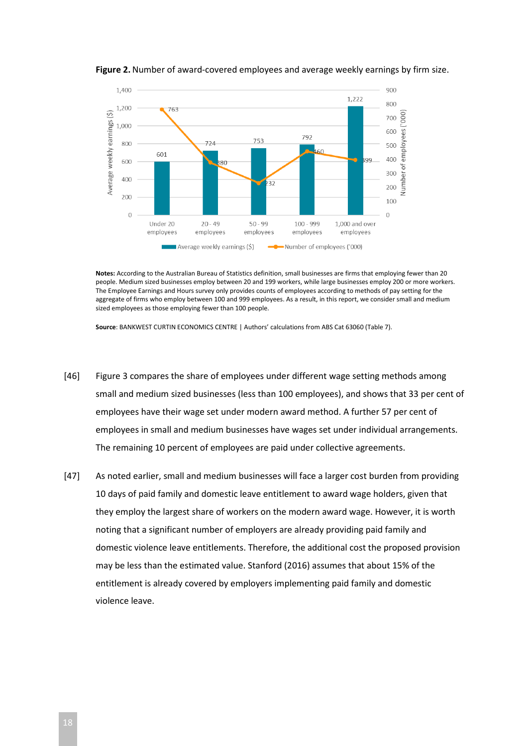

<span id="page-17-0"></span>**Figure 2.** Number of award-covered employees and average weekly earnings by firm size.

**Notes:** According to the Australian Bureau of Statistics definition, small businesses are firms that employing fewer than 20 people. Medium sized businesses employ between 20 and 199 workers, while large businesses employ 200 or more workers. The Employee Earnings and Hours survey only provides counts of employees according to methods of pay setting for the aggregate of firms who employ between 100 and 999 employees. As a result, in this report, we consider small and medium sized employees as those employing fewer than 100 people.

**Source**: BANKWEST CURTIN ECONOMICS CENTRE | Authors' calculations from ABS Cat 63060 (Table 7).

- [46] [Figure 3](#page-18-1) compares the share of employees under different wage setting methods among small and medium sized businesses (less than 100 employees), and shows that 33 per cent of employees have their wage set under modern award method. A further 57 per cent of employees in small and medium businesses have wages set under individual arrangements. The remaining 10 percent of employees are paid under collective agreements.
- [47] As noted earlier, small and medium businesses will face a larger cost burden from providing 10 days of paid family and domestic leave entitlement to award wage holders, given that they employ the largest share of workers on the modern award wage. However, it is worth noting that a significant number of employers are already providing paid family and domestic violence leave entitlements. Therefore, the additional cost the proposed provision may be less than the estimated value. Stanford (2016) assumes that about 15% of the entitlement is already covered by employers implementing paid family and domestic violence leave.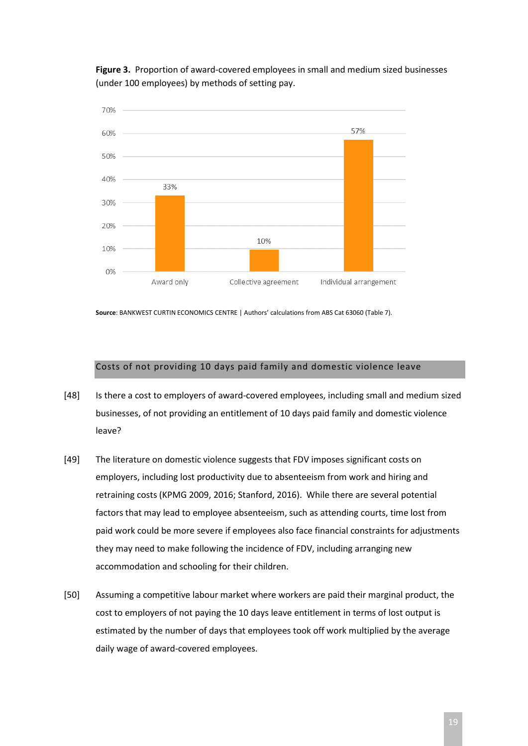<span id="page-18-1"></span>**Figure 3.** Proportion of award-covered employees in small and medium sized businesses (under 100 employees) by methods of setting pay.



**Source**: BANKWEST CURTIN ECONOMICS CENTRE | Authors' calculations from ABS Cat 63060 (Table 7).

#### Costs of not providing 10 days paid family and domestic violence leave

- <span id="page-18-0"></span>[48] Is there a cost to employers of award-covered employees, including small and medium sized businesses, of not providing an entitlement of 10 days paid family and domestic violence leave?
- [49] The literature on domestic violence suggests that FDV imposes significant costs on employers, including lost productivity due to absenteeism from work and hiring and retraining costs (KPMG 2009, 2016; Stanford, 2016). While there are several potential factors that may lead to employee absenteeism, such as attending courts, time lost from paid work could be more severe if employees also face financial constraints for adjustments they may need to make following the incidence of FDV, including arranging new accommodation and schooling for their children.
- [50] Assuming a competitive labour market where workers are paid their marginal product, the cost to employers of not paying the 10 days leave entitlement in terms of lost output is estimated by the number of days that employees took off work multiplied by the average daily wage of award-covered employees.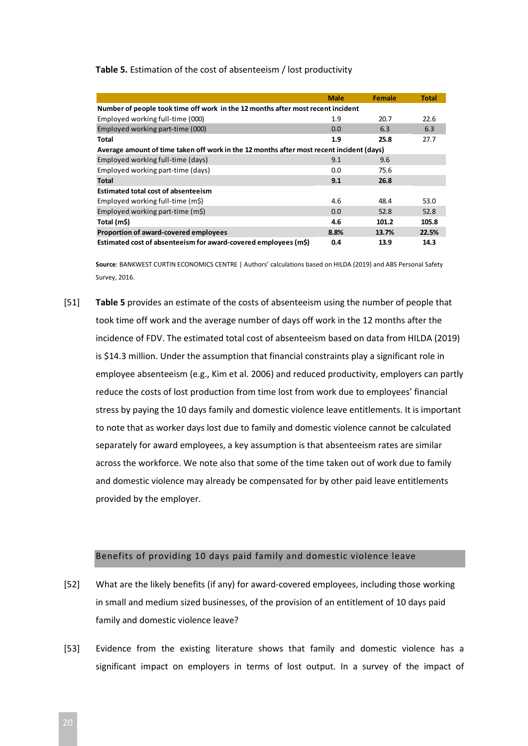#### <span id="page-19-1"></span>**Table 5.** Estimation of the cost of absenteeism / lost productivity

|                                                                                          | <b>Male</b> | <b>Female</b> | <b>Total</b> |  |  |  |  |  |  |  |  |
|------------------------------------------------------------------------------------------|-------------|---------------|--------------|--|--|--|--|--|--|--|--|
| Number of people took time off work in the 12 months after most recent incident          |             |               |              |  |  |  |  |  |  |  |  |
| Employed working full-time (000)                                                         | 1.9         | 20.7          | 22.6         |  |  |  |  |  |  |  |  |
| Employed working part-time (000)                                                         | 0.0         | 6.3           | 6.3          |  |  |  |  |  |  |  |  |
| Total                                                                                    | 1.9         | 25.8          | 27.7         |  |  |  |  |  |  |  |  |
| Average amount of time taken off work in the 12 months after most recent incident (days) |             |               |              |  |  |  |  |  |  |  |  |
| Employed working full-time (days)                                                        | 9.1         | 9.6           |              |  |  |  |  |  |  |  |  |
| Employed working part-time (days)                                                        | 0.0         | 75.6          |              |  |  |  |  |  |  |  |  |
| <b>Total</b>                                                                             | 9.1         | 26.8          |              |  |  |  |  |  |  |  |  |
| <b>Estimated total cost of absenteeism</b>                                               |             |               |              |  |  |  |  |  |  |  |  |
| Employed working full-time (m\$)                                                         | 4.6         | 48.4          | 53.0         |  |  |  |  |  |  |  |  |
| Employed working part-time (m\$)                                                         | 0.0         | 52.8          | 52.8         |  |  |  |  |  |  |  |  |
| Total (m\$)                                                                              | 4.6         | 101.2         | 105.8        |  |  |  |  |  |  |  |  |
| Proportion of award-covered employees                                                    | 8.8%        | 13.7%         | 22.5%        |  |  |  |  |  |  |  |  |
| Estimated cost of absenteeism for award-covered employees (m\$)                          | 0.4         | 13.9          | 14.3         |  |  |  |  |  |  |  |  |

**Source**: BANKWEST CURTIN ECONOMICS CENTRE | Authors' calculations based on HILDA (2019) and ABS Personal Safety Survey, 2016.

[51] **[Table 5](#page-19-1)** provides an estimate of the costs of absenteeism using the number of people that took time off work and the average number of days off work in the 12 months after the incidence of FDV. The estimated total cost of absenteeism based on data from HILDA (2019) is \$14.3 million. Under the assumption that financial constraints play a significant role in employee absenteeism (e.g., Kim et al. 2006) and reduced productivity, employers can partly reduce the costs of lost production from time lost from work due to employees' financial stress by paying the 10 days family and domestic violence leave entitlements. It is important to note that as worker days lost due to family and domestic violence cannot be calculated separately for award employees, a key assumption is that absenteeism rates are similar across the workforce. We note also that some of the time taken out of work due to family and domestic violence may already be compensated for by other paid leave entitlements provided by the employer.

#### Benefits of providing 10 days paid family and domestic violence leave

- <span id="page-19-0"></span>[52] What are the likely benefits (if any) for award-covered employees, including those working in small and medium sized businesses, of the provision of an entitlement of 10 days paid family and domestic violence leave?
- [53] Evidence from the existing literature shows that family and domestic violence has a significant impact on employers in terms of lost output. In a survey of the impact of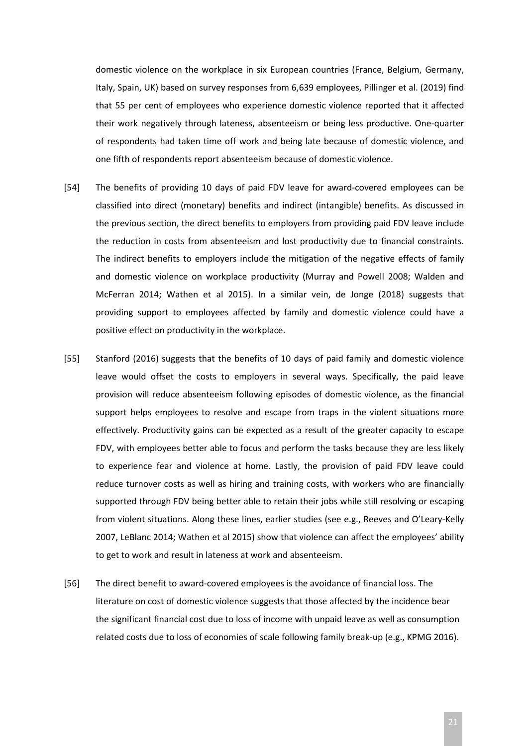domestic violence on the workplace in six European countries (France, Belgium, Germany, Italy, Spain, UK) based on survey responses from 6,639 employees, Pillinger et al. (2019) find that 55 per cent of employees who experience domestic violence reported that it affected their work negatively through lateness, absenteeism or being less productive. One-quarter of respondents had taken time off work and being late because of domestic violence, and one fifth of respondents report absenteeism because of domestic violence.

- [54] The benefits of providing 10 days of paid FDV leave for award-covered employees can be classified into direct (monetary) benefits and indirect (intangible) benefits. As discussed in the previous section, the direct benefits to employers from providing paid FDV leave include the reduction in costs from absenteeism and lost productivity due to financial constraints. The indirect benefits to employers include the mitigation of the negative effects of family and domestic violence on workplace productivity (Murray and Powell 2008; Walden and McFerran 2014; Wathen et al 2015). In a similar vein, de Jonge (2018) suggests that providing support to employees affected by family and domestic violence could have a positive effect on productivity in the workplace.
- [55] Stanford (2016) suggests that the benefits of 10 days of paid family and domestic violence leave would offset the costs to employers in several ways. Specifically, the paid leave provision will reduce absenteeism following episodes of domestic violence, as the financial support helps employees to resolve and escape from traps in the violent situations more effectively. Productivity gains can be expected as a result of the greater capacity to escape FDV, with employees better able to focus and perform the tasks because they are less likely to experience fear and violence at home. Lastly, the provision of paid FDV leave could reduce turnover costs as well as hiring and training costs, with workers who are financially supported through FDV being better able to retain their jobs while still resolving or escaping from violent situations. Along these lines, earlier studies (see e.g., Reeves and O'Leary-Kelly 2007, LeBlanc 2014; Wathen et al 2015) show that violence can affect the employees' ability to get to work and result in lateness at work and absenteeism.
- [56] The direct benefit to award-covered employees is the avoidance of financial loss. The literature on cost of domestic violence suggests that those affected by the incidence bear the significant financial cost due to loss of income with unpaid leave as well as consumption related costs due to loss of economies of scale following family break-up (e.g., KPMG 2016).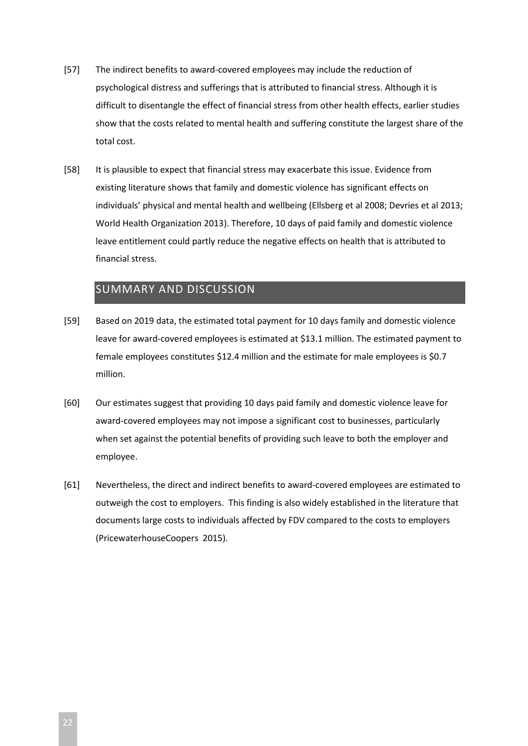- [57] The indirect benefits to award-covered employees may include the reduction of psychological distress and sufferings that is attributed to financial stress. Although it is difficult to disentangle the effect of financial stress from other health effects, earlier studies show that the costs related to mental health and suffering constitute the largest share of the total cost.
- [58] It is plausible to expect that financial stress may exacerbate this issue. Evidence from existing literature shows that family and domestic violence has significant effects on individuals' physical and mental health and wellbeing (Ellsberg et al 2008; Devries et al 2013; World Health Organization 2013). Therefore, 10 days of paid family and domestic violence leave entitlement could partly reduce the negative effects on health that is attributed to financial stress.

# <span id="page-21-0"></span>SUMMARY AND DISCUSSION

- [59] Based on 2019 data, the estimated total payment for 10 days family and domestic violence leave for award-covered employees is estimated at \$13.1 million. The estimated payment to female employees constitutes \$12.4 million and the estimate for male employees is \$0.7 million.
- [60] Our estimates suggest that providing 10 days paid family and domestic violence leave for award-covered employees may not impose a significant cost to businesses, particularly when set against the potential benefits of providing such leave to both the employer and employee.
- [61] Nevertheless, the direct and indirect benefits to award-covered employees are estimated to outweigh the cost to employers. This finding is also widely established in the literature that documents large costs to individuals affected by FDV compared to the costs to employers (PricewaterhouseCoopers 2015).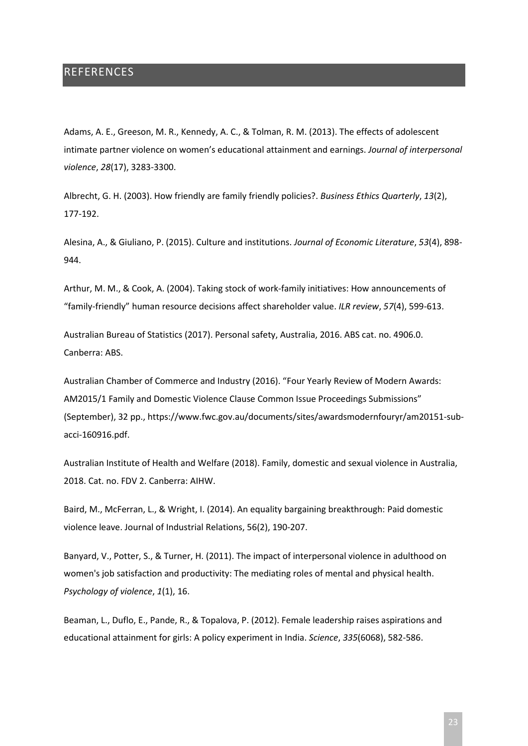## <span id="page-22-0"></span>**REFERENCES**

Adams, A. E., Greeson, M. R., Kennedy, A. C., & Tolman, R. M. (2013). The effects of adolescent intimate partner violence on women's educational attainment and earnings. *Journal of interpersonal violence*, *28*(17), 3283-3300.

Albrecht, G. H. (2003). How friendly are family friendly policies?. *Business Ethics Quarterly*, *13*(2), 177-192.

Alesina, A., & Giuliano, P. (2015). Culture and institutions. *Journal of Economic Literature*, *53*(4), 898- 944.

Arthur, M. M., & Cook, A. (2004). Taking stock of work-family initiatives: How announcements of "family-friendly" human resource decisions affect shareholder value. *ILR review*, *57*(4), 599-613.

Australian Bureau of Statistics (2017). Personal safety, Australia, 2016. ABS cat. no. 4906.0. Canberra: ABS.

Australian Chamber of Commerce and Industry (2016). "Four Yearly Review of Modern Awards: AM2015/1 Family and Domestic Violence Clause Common Issue Proceedings Submissions" (September), 32 pp., https://www.fwc.gov.au/documents/sites/awardsmodernfouryr/am20151-subacci-160916.pdf.

Australian Institute of Health and Welfare (2018). Family, domestic and sexual violence in Australia, 2018. Cat. no. FDV 2. Canberra: AIHW.

Baird, M., McFerran, L., & Wright, I. (2014). An equality bargaining breakthrough: Paid domestic violence leave. Journal of Industrial Relations, 56(2), 190-207.

Banyard, V., Potter, S., & Turner, H. (2011). The impact of interpersonal violence in adulthood on women's job satisfaction and productivity: The mediating roles of mental and physical health. *Psychology of violence*, *1*(1), 16.

Beaman, L., Duflo, E., Pande, R., & Topalova, P. (2012). Female leadership raises aspirations and educational attainment for girls: A policy experiment in India. *Science*, *335*(6068), 582-586.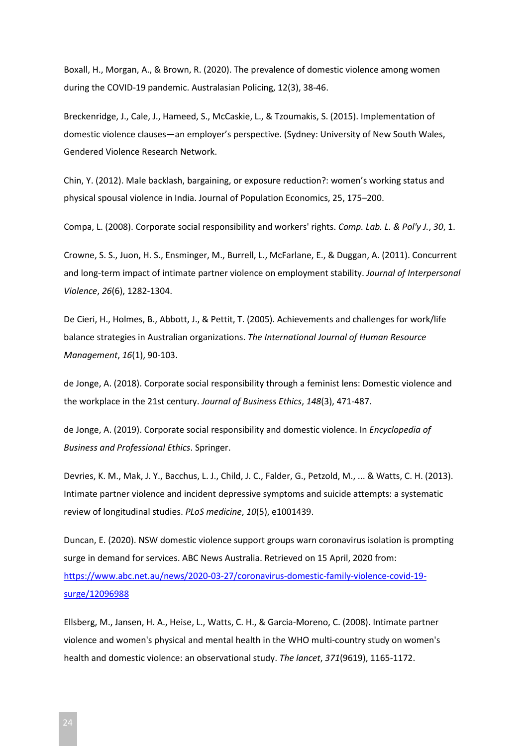Boxall, H., Morgan, A., & Brown, R. (2020). The prevalence of domestic violence among women during the COVID-19 pandemic. Australasian Policing, 12(3), 38-46.

Breckenridge, J., Cale, J., Hameed, S., McCaskie, L., & Tzoumakis, S. (2015). Implementation of domestic violence clauses—an employer's perspective. (Sydney: University of New South Wales, Gendered Violence Research Network.

Chin, Y. (2012). Male backlash, bargaining, or exposure reduction?: women's working status and physical spousal violence in India. Journal of Population Economics, 25, 175–200.

Compa, L. (2008). Corporate social responsibility and workers' rights. *Comp. Lab. L. & Pol'y J.*, *30*, 1.

Crowne, S. S., Juon, H. S., Ensminger, M., Burrell, L., McFarlane, E., & Duggan, A. (2011). Concurrent and long-term impact of intimate partner violence on employment stability. *Journal of Interpersonal Violence*, *26*(6), 1282-1304.

De Cieri, H., Holmes, B., Abbott, J., & Pettit, T. (2005). Achievements and challenges for work/life balance strategies in Australian organizations. *The International Journal of Human Resource Management*, *16*(1), 90-103.

de Jonge, A. (2018). Corporate social responsibility through a feminist lens: Domestic violence and the workplace in the 21st century. *Journal of Business Ethics*, *148*(3), 471-487.

de Jonge, A. (2019). Corporate social responsibility and domestic violence. In *Encyclopedia of Business and Professional Ethics*. Springer.

Devries, K. M., Mak, J. Y., Bacchus, L. J., Child, J. C., Falder, G., Petzold, M., ... & Watts, C. H. (2013). Intimate partner violence and incident depressive symptoms and suicide attempts: a systematic review of longitudinal studies. *PLoS medicine*, *10*(5), e1001439.

Duncan, E. (2020). NSW domestic violence support groups warn coronavirus isolation is prompting surge in demand for services. ABC News Australia. Retrieved on 15 April, 2020 from: [https://www.abc.net.au/news/2020-03-27/coronavirus-domestic-family-violence-covid-19](https://www.abc.net.au/news/2020-03-27/coronavirus-domestic-family-violence-covid-19-surge/12096988) [surge/12096988](https://www.abc.net.au/news/2020-03-27/coronavirus-domestic-family-violence-covid-19-surge/12096988)

Ellsberg, M., Jansen, H. A., Heise, L., Watts, C. H., & Garcia-Moreno, C. (2008). Intimate partner violence and women's physical and mental health in the WHO multi-country study on women's health and domestic violence: an observational study. *The lancet*, *371*(9619), 1165-1172.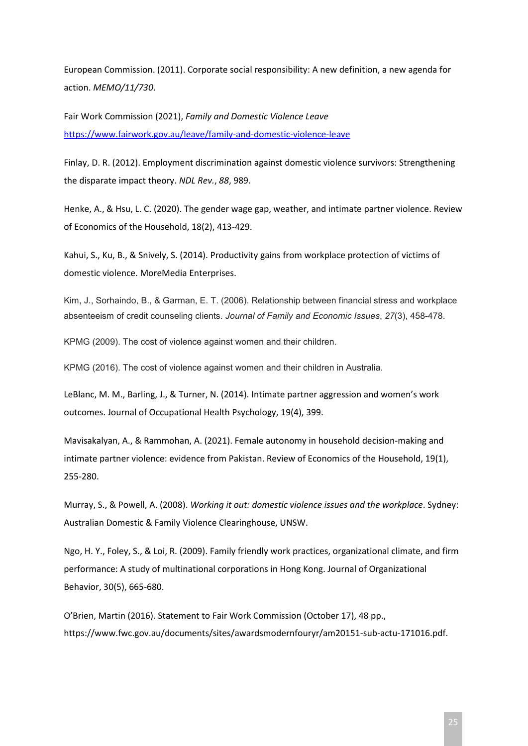European Commission. (2011). Corporate social responsibility: A new definition, a new agenda for action. *MEMO/11/730*.

Fair Work Commission (2021), *Family and Domestic Violence Leave* <https://www.fairwork.gov.au/leave/family-and-domestic-violence-leave>

Finlay, D. R. (2012). Employment discrimination against domestic violence survivors: Strengthening the disparate impact theory. *NDL Rev.*, *88*, 989.

Henke, A., & Hsu, L. C. (2020). The gender wage gap, weather, and intimate partner violence. Review of Economics of the Household, 18(2), 413-429.

Kahui, S., Ku, B., & Snively, S. (2014). Productivity gains from workplace protection of victims of domestic violence. MoreMedia Enterprises.

Kim, J., Sorhaindo, B., & Garman, E. T. (2006). Relationship between financial stress and workplace absenteeism of credit counseling clients. *Journal of Family and Economic Issues*, *27*(3), 458-478.

KPMG (2009). The cost of violence against women and their children.

KPMG (2016). The cost of violence against women and their children in Australia.

LeBlanc, M. M., Barling, J., & Turner, N. (2014). Intimate partner aggression and women's work outcomes. Journal of Occupational Health Psychology, 19(4), 399.

Mavisakalyan, A., & Rammohan, A. (2021). Female autonomy in household decision-making and intimate partner violence: evidence from Pakistan. Review of Economics of the Household, 19(1), 255-280.

Murray, S., & Powell, A. (2008). *Working it out: domestic violence issues and the workplace*. Sydney: Australian Domestic & Family Violence Clearinghouse, UNSW.

Ngo, H. Y., Foley, S., & Loi, R. (2009). Family friendly work practices, organizational climate, and firm performance: A study of multinational corporations in Hong Kong. Journal of Organizational Behavior, 30(5), 665-680.

O'Brien, Martin (2016). Statement to Fair Work Commission (October 17), 48 pp., https://www.fwc.gov.au/documents/sites/awardsmodernfouryr/am20151-sub-actu-171016.pdf.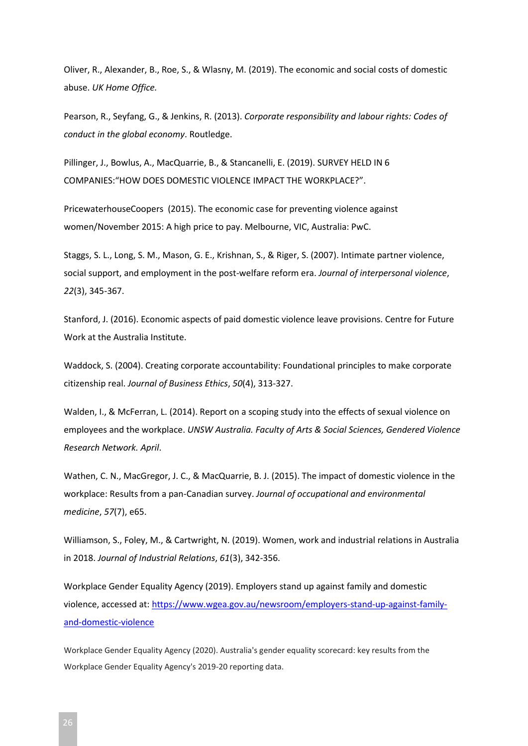Oliver, R., Alexander, B., Roe, S., & Wlasny, M. (2019). The economic and social costs of domestic abuse. *UK Home Office.*

Pearson, R., Seyfang, G., & Jenkins, R. (2013). *Corporate responsibility and labour rights: Codes of conduct in the global economy*. Routledge.

Pillinger, J., Bowlus, A., MacQuarrie, B., & Stancanelli, E. (2019). SURVEY HELD IN 6 COMPANIES:"HOW DOES DOMESTIC VIOLENCE IMPACT THE WORKPLACE?".

PricewaterhouseCoopers (2015). The economic case for preventing violence against women/November 2015: A high price to pay. Melbourne, VIC, Australia: PwC.

Staggs, S. L., Long, S. M., Mason, G. E., Krishnan, S., & Riger, S. (2007). Intimate partner violence, social support, and employment in the post-welfare reform era. *Journal of interpersonal violence*, *22*(3), 345-367.

Stanford, J. (2016). Economic aspects of paid domestic violence leave provisions. Centre for Future Work at the Australia Institute.

Waddock, S. (2004). Creating corporate accountability: Foundational principles to make corporate citizenship real. *Journal of Business Ethics*, *50*(4), 313-327.

Walden, I., & McFerran, L. (2014). Report on a scoping study into the effects of sexual violence on employees and the workplace. *UNSW Australia. Faculty of Arts & Social Sciences, Gendered Violence Research Network. April*.

Wathen, C. N., MacGregor, J. C., & MacQuarrie, B. J. (2015). The impact of domestic violence in the workplace: Results from a pan-Canadian survey. *Journal of occupational and environmental medicine*, *57*(7), e65.

Williamson, S., Foley, M., & Cartwright, N. (2019). Women, work and industrial relations in Australia in 2018. *Journal of Industrial Relations*, *61*(3), 342-356.

Workplace Gender Equality Agency (2019). Employers stand up against family and domestic violence, accessed at: [https://www.wgea.gov.au/newsroom/employers-stand-up-against-family](https://www.wgea.gov.au/newsroom/employers-stand-up-against-family-and-domestic-violence)[and-domestic-violence](https://www.wgea.gov.au/newsroom/employers-stand-up-against-family-and-domestic-violence)

Workplace Gender Equality Agency (2020). Australia's gender equality scorecard: key results from the Workplace Gender Equality Agency's 2019-20 reporting data.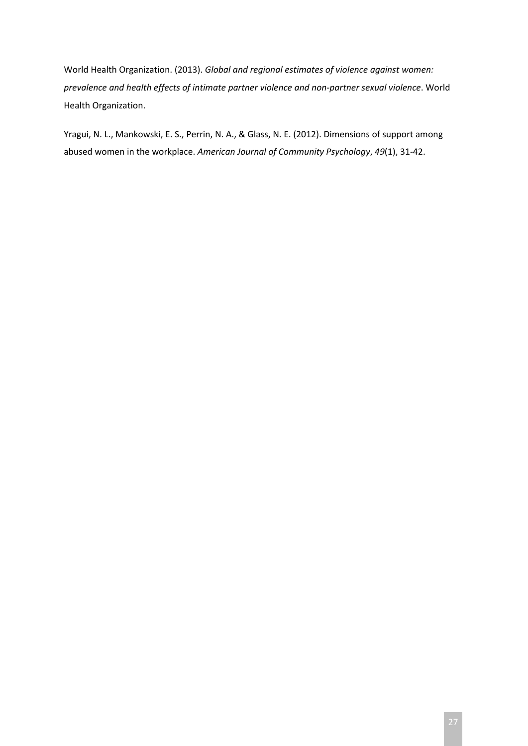World Health Organization. (2013). *Global and regional estimates of violence against women: prevalence and health effects of intimate partner violence and non-partner sexual violence*. World Health Organization.

Yragui, N. L., Mankowski, E. S., Perrin, N. A., & Glass, N. E. (2012). Dimensions of support among abused women in the workplace. *American Journal of Community Psychology*, *49*(1), 31-42.